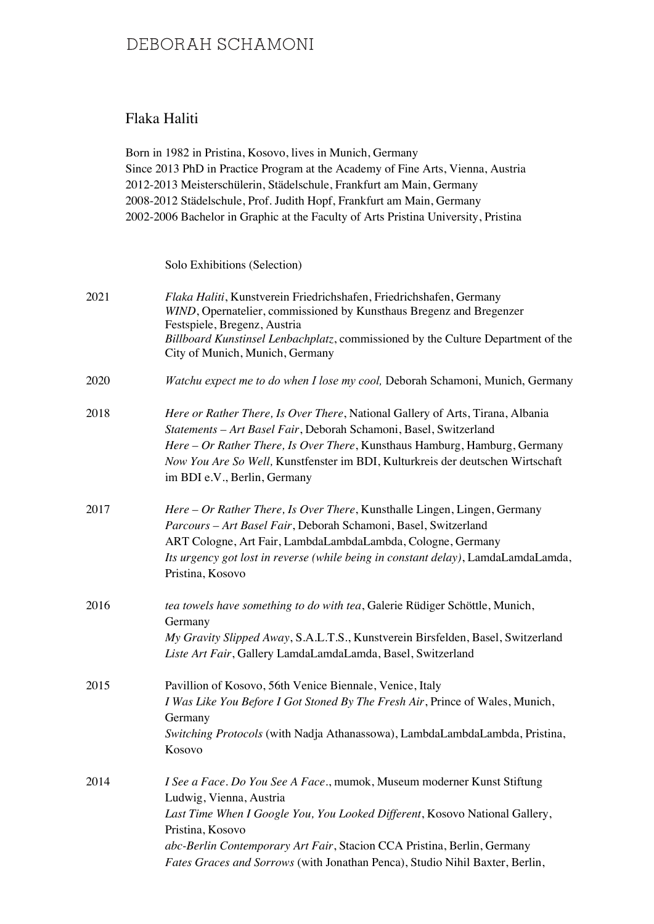### Flaka Haliti

Born in 1982 in Pristina, Kosovo, lives in Munich, Germany Since 2013 PhD in Practice Program at the Academy of Fine Arts, Vienna, Austria 2012-2013 Meisterschülerin, Städelschule, Frankfurt am Main, Germany 2008-2012 Städelschule, Prof. Judith Hopf, Frankfurt am Main, Germany 2002-2006 Bachelor in Graphic at the Faculty of Arts Pristina University, Pristina

Solo Exhibitions (Selection)

| 2021 | Flaka Haliti, Kunstverein Friedrichshafen, Friedrichshafen, Germany<br>WIND, Opernatelier, commissioned by Kunsthaus Bregenz and Bregenzer<br>Festspiele, Bregenz, Austria<br>Billboard Kunstinsel Lenbachplatz, commissioned by the Culture Department of the<br>City of Munich, Munich, Germany                                                                |
|------|------------------------------------------------------------------------------------------------------------------------------------------------------------------------------------------------------------------------------------------------------------------------------------------------------------------------------------------------------------------|
| 2020 | Watchu expect me to do when I lose my cool, Deborah Schamoni, Munich, Germany                                                                                                                                                                                                                                                                                    |
| 2018 | Here or Rather There, Is Over There, National Gallery of Arts, Tirana, Albania<br>Statements - Art Basel Fair, Deborah Schamoni, Basel, Switzerland<br>Here - Or Rather There, Is Over There, Kunsthaus Hamburg, Hamburg, Germany<br>Now You Are So Well, Kunstfenster im BDI, Kulturkreis der deutschen Wirtschaft<br>im BDI e.V., Berlin, Germany              |
| 2017 | Here – Or Rather There, Is Over There, Kunsthalle Lingen, Lingen, Germany<br>Parcours - Art Basel Fair, Deborah Schamoni, Basel, Switzerland<br>ART Cologne, Art Fair, LambdaLambdaLambda, Cologne, Germany<br>Its urgency got lost in reverse (while being in constant delay), LamdaLamdaLamda,<br>Pristina, Kosovo                                             |
| 2016 | tea towels have something to do with tea, Galerie Rüdiger Schöttle, Munich,<br>Germany<br>My Gravity Slipped Away, S.A.L.T.S., Kunstverein Birsfelden, Basel, Switzerland<br>Liste Art Fair, Gallery LamdaLamdaLamda, Basel, Switzerland                                                                                                                         |
| 2015 | Pavillion of Kosovo, 56th Venice Biennale, Venice, Italy<br>I Was Like You Before I Got Stoned By The Fresh Air, Prince of Wales, Munich,<br>Germany<br>Switching Protocols (with Nadja Athanassowa), LambdaLambdaLambda, Pristina,<br>Kosovo                                                                                                                    |
| 2014 | I See a Face. Do You See A Face., mumok, Museum moderner Kunst Stiftung<br>Ludwig, Vienna, Austria<br>Last Time When I Google You, You Looked Different, Kosovo National Gallery,<br>Pristina, Kosovo<br>abc-Berlin Contemporary Art Fair, Stacion CCA Pristina, Berlin, Germany<br>Fates Graces and Sorrows (with Jonathan Penca), Studio Nihil Baxter, Berlin, |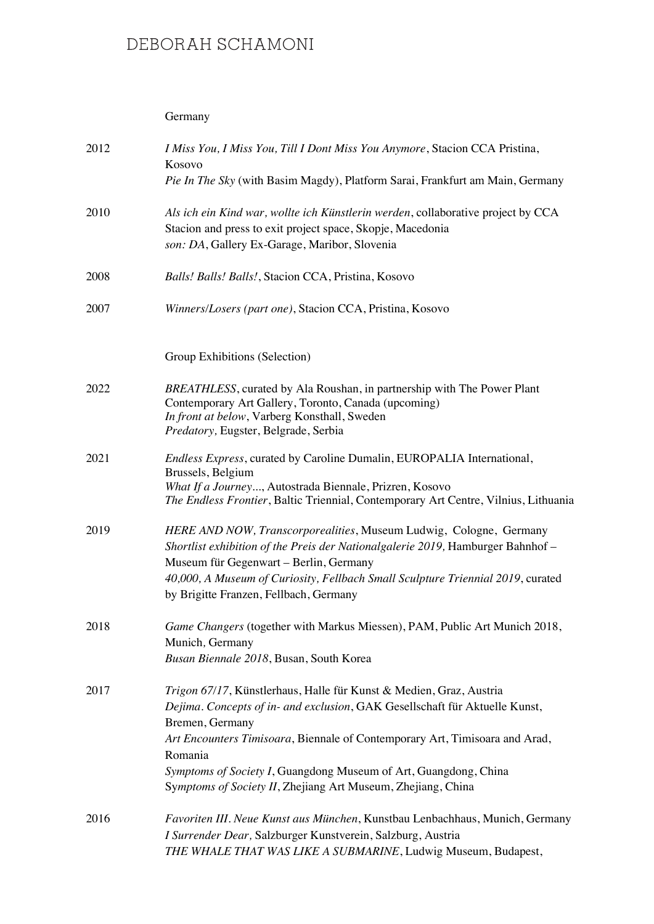#### Germany

| 2012 | I Miss You, I Miss You, Till I Dont Miss You Anymore, Stacion CCA Pristina,<br>Kosovo<br>Pie In The Sky (with Basim Magdy), Platform Sarai, Frankfurt am Main, Germany                                                                                                                                                                                                                              |
|------|-----------------------------------------------------------------------------------------------------------------------------------------------------------------------------------------------------------------------------------------------------------------------------------------------------------------------------------------------------------------------------------------------------|
| 2010 | Als ich ein Kind war, wollte ich Künstlerin werden, collaborative project by CCA<br>Stacion and press to exit project space, Skopje, Macedonia<br>son: DA, Gallery Ex-Garage, Maribor, Slovenia                                                                                                                                                                                                     |
| 2008 | Balls! Balls! Balls!, Stacion CCA, Pristina, Kosovo                                                                                                                                                                                                                                                                                                                                                 |
| 2007 | Winners/Losers (part one), Stacion CCA, Pristina, Kosovo                                                                                                                                                                                                                                                                                                                                            |
|      | Group Exhibitions (Selection)                                                                                                                                                                                                                                                                                                                                                                       |
| 2022 | BREATHLESS, curated by Ala Roushan, in partnership with The Power Plant<br>Contemporary Art Gallery, Toronto, Canada (upcoming)<br>In front at below, Varberg Konsthall, Sweden<br>Predatory, Eugster, Belgrade, Serbia                                                                                                                                                                             |
| 2021 | Endless Express, curated by Caroline Dumalin, EUROPALIA International,<br>Brussels, Belgium<br>What If a Journey, Autostrada Biennale, Prizren, Kosovo<br>The Endless Frontier, Baltic Triennial, Contemporary Art Centre, Vilnius, Lithuania                                                                                                                                                       |
| 2019 | HERE AND NOW, Transcorporealities, Museum Ludwig, Cologne, Germany<br>Shortlist exhibition of the Preis der Nationalgalerie 2019, Hamburger Bahnhof -<br>Museum für Gegenwart – Berlin, Germany<br>40,000, A Museum of Curiosity, Fellbach Small Sculpture Triennial 2019, curated<br>by Brigitte Franzen, Fellbach, Germany                                                                        |
| 2018 | Game Changers (together with Markus Miessen), PAM, Public Art Munich 2018,<br>Munich, Germany<br>Busan Biennale 2018, Busan, South Korea                                                                                                                                                                                                                                                            |
| 2017 | Trigon 67/17, Künstlerhaus, Halle für Kunst & Medien, Graz, Austria<br>Dejima. Concepts of in- and exclusion, GAK Gesellschaft für Aktuelle Kunst,<br>Bremen, Germany<br>Art Encounters Timisoara, Biennale of Contemporary Art, Timisoara and Arad,<br>Romania<br>Symptoms of Society I, Guangdong Museum of Art, Guangdong, China<br>Symptoms of Society II, Zhejiang Art Museum, Zhejiang, China |
| 2016 | Favoriten III. Neue Kunst aus München, Kunstbau Lenbachhaus, Munich, Germany<br>I Surrender Dear, Salzburger Kunstverein, Salzburg, Austria<br>THE WHALE THAT WAS LIKE A SUBMARINE, Ludwig Museum, Budapest,                                                                                                                                                                                        |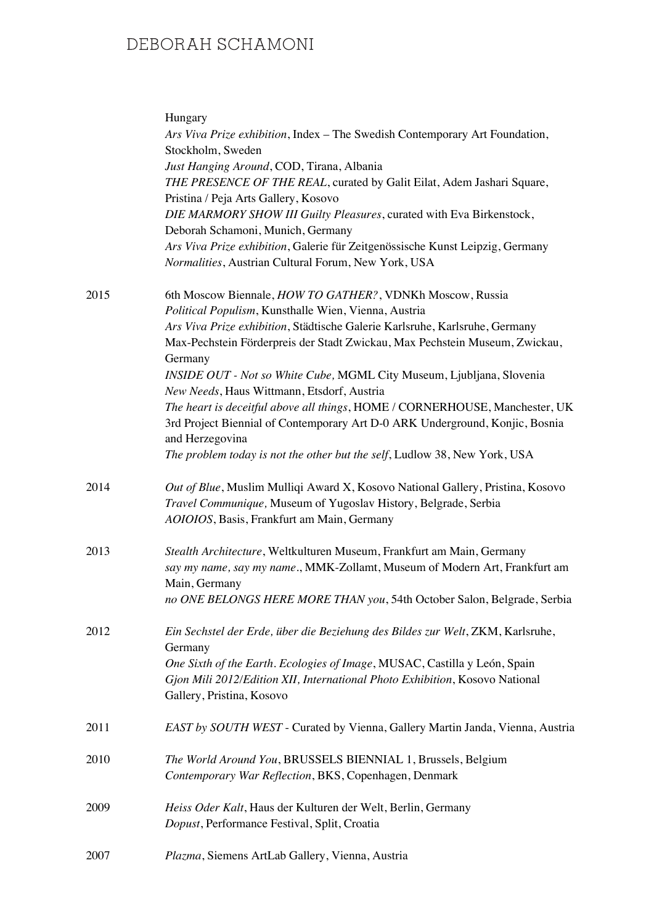|      | Hungary<br>Ars Viva Prize exhibition, Index - The Swedish Contemporary Art Foundation,<br>Stockholm, Sweden                                                                    |
|------|--------------------------------------------------------------------------------------------------------------------------------------------------------------------------------|
|      | Just Hanging Around, COD, Tirana, Albania<br>THE PRESENCE OF THE REAL, curated by Galit Eilat, Adem Jashari Square,                                                            |
|      | Pristina / Peja Arts Gallery, Kosovo                                                                                                                                           |
|      | DIE MARMORY SHOW III Guilty Pleasures, curated with Eva Birkenstock,<br>Deborah Schamoni, Munich, Germany                                                                      |
|      | Ars Viva Prize exhibition, Galerie für Zeitgenössische Kunst Leipzig, Germany<br>Normalities, Austrian Cultural Forum, New York, USA                                           |
| 2015 | 6th Moscow Biennale, HOW TO GATHER?, VDNKh Moscow, Russia<br>Political Populism, Kunsthalle Wien, Vienna, Austria                                                              |
|      | Ars Viva Prize exhibition, Städtische Galerie Karlsruhe, Karlsruhe, Germany                                                                                                    |
|      | Max-Pechstein Förderpreis der Stadt Zwickau, Max Pechstein Museum, Zwickau,<br>Germany                                                                                         |
|      | INSIDE OUT - Not so White Cube, MGML City Museum, Ljubljana, Slovenia                                                                                                          |
|      | New Needs, Haus Wittmann, Etsdorf, Austria                                                                                                                                     |
|      | The heart is deceitful above all things, HOME / CORNERHOUSE, Manchester, UK<br>3rd Project Biennial of Contemporary Art D-0 ARK Underground, Konjic, Bosnia<br>and Herzegovina |
|      | The problem today is not the other but the self, Ludlow 38, New York, USA                                                                                                      |
| 2014 | Out of Blue, Muslim Mulliqi Award X, Kosovo National Gallery, Pristina, Kosovo<br>Travel Communique, Museum of Yugoslav History, Belgrade, Serbia                              |
|      | AOIOIOS, Basis, Frankfurt am Main, Germany                                                                                                                                     |
| 2013 | Stealth Architecture, Weltkulturen Museum, Frankfurt am Main, Germany<br>say my name, say my name., MMK-Zollamt, Museum of Modern Art, Frankfurt am                            |
|      | Main, Germany                                                                                                                                                                  |
|      | no ONE BELONGS HERE MORE THAN you, 54th October Salon, Belgrade, Serbia                                                                                                        |
| 2012 | Ein Sechstel der Erde, über die Beziehung des Bildes zur Welt, ZKM, Karlsruhe,<br>Germany                                                                                      |
|      | One Sixth of the Earth. Ecologies of Image, MUSAC, Castilla y León, Spain                                                                                                      |
|      | Gjon Mili 2012/Edition XII, International Photo Exhibition, Kosovo National<br>Gallery, Pristina, Kosovo                                                                       |
| 2011 | EAST by SOUTH WEST - Curated by Vienna, Gallery Martin Janda, Vienna, Austria                                                                                                  |
| 2010 | The World Around You, BRUSSELS BIENNIAL 1, Brussels, Belgium<br>Contemporary War Reflection, BKS, Copenhagen, Denmark                                                          |
|      |                                                                                                                                                                                |
| 2009 | Heiss Oder Kalt, Haus der Kulturen der Welt, Berlin, Germany<br>Dopust, Performance Festival, Split, Croatia                                                                   |
| 2007 | Plazma, Siemens ArtLab Gallery, Vienna, Austria                                                                                                                                |